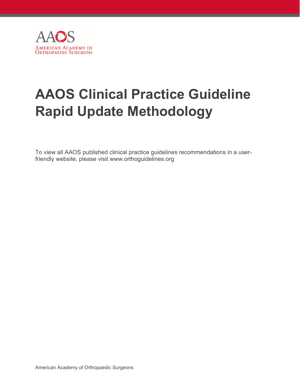

# **AAOS Clinical Practice Guideline Rapid Update Methodology**

To view all AAOS published clinical practice guidelines recommendations in a userfriendly website, please visit www.orthoguidelines.org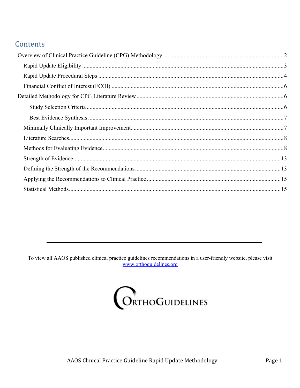# Contents

To view all AAOS published clinical practice guidelines recommendations in a user-friendly website, please visit www.orthoguidelines.org

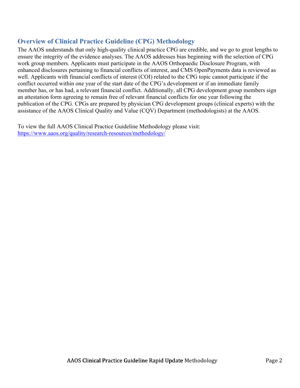# **Overview of Clinical Practice Guideline (CPG) Methodology**

The AAOS understands that only high-quality clinical practice CPG are credible, and we go to great lengths to ensure the integrity of the evidence analyses. The AAOS addresses bias beginning with the selection of CPG work group members. Applicants must participate in the AAOS Orthopaedic Disclosure Program, with enhanced disclosures pertaining to financial conflicts of interest, and CMS OpenPayments data is reviewed as well. Applicants with financial conflicts of interest (COI) related to the CPG topic cannot participate if the conflict occurred within one year of the start date of the CPG's development or if an immediate family member has, or has had, a relevant financial conflict. Additionally, all CPG development group members sign an attestation form agreeing to remain free of relevant financial conflicts for one year following the publication of the CPG. CPGs are prepared by physician CPG development groups (clinical experts) with the assistance of the AAOS Clinical Quality and Value (CQV) Department (methodologists) at the AAOS.

To view the full AAOS Clinical Practice Guideline Methodology please visit: https://www.aaos.org/quality/research-resources/methodology/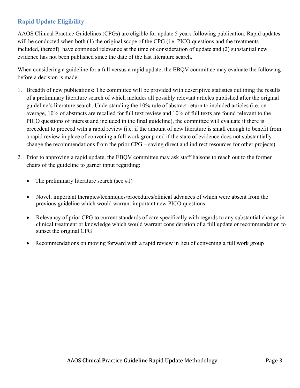# **Rapid Update Eligibility**

AAOS Clinical Practice Guidelines (CPGs) are eligible for update 5 years following publication. Rapid updates will be conducted when both (1) the original scope of the CPG (i.e. PICO questions and the treatments included, thereof) have continued relevance at the time of consideration of update and (2) substantial new evidence has not been published since the date of the last literature search.

When considering a guideline for a full versus a rapid update, the EBQV committee may evaluate the following before a decision is made:

- 1. Breadth of new publications: The committee will be provided with descriptive statistics outlining the results of a preliminary literature search of which includes all possibly relevant articles published after the original guideline's literature search. Understanding the 10% rule of abstract return to included articles (i.e. on average, 10% of abstracts are recalled for full text review and 10% of full texts are found relevant to the PICO questions of interest and included in the final guideline), the committee will evaluate if there is precedent to proceed with a rapid review (i.e. if the amount of new literature is small enough to benefit from a rapid review in place of convening a full work group and if the state of evidence does not substantially change the recommendations from the prior CPG – saving direct and indirect resources for other projects).
- 2. Prior to approving a rapid update, the EBQV committee may ask staff liaisons to reach out to the former chairs of the guideline to garner input regarding:
	- The preliminary literature search (see #1)
	- Novel, important therapies/techniques/procedures/clinical advances of which were absent from the previous guideline which would warrant important new PICO questions
	- Relevancy of prior CPG to current standards of care specifically with regards to any substantial change in clinical treatment or knowledge which would warrant consideration of a full update or recommendation to sunset the original CPG
	- Recommendations on moving forward with a rapid review in lieu of convening a full work group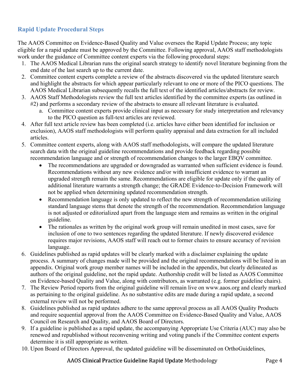# **Rapid Update Procedural Steps**

The AAOS Committee on Evidence-Based Quality and Value oversees the Rapid Update Process; any topic eligible for a rapid update must be approved by the Committee. Following approval, AAOS staff methodologists work under the guidance of Committee content experts via the following procedural steps:

- 1. The AAOS Medical Librarian runs the original search strategy to identify novel literature beginning from the end date of the last search up to the current date.
- 2. Committee content experts complete a review of the abstracts discovered via the updated literature search and highlight the abstracts for which appear particularly relevant to one or more of the PICO questions. The AAOS Medical Librarian subsequently recalls the full text of the identified articles/abstracts for review.
- 3. AAOS Staff Methodologists review the full text articles identified by the committee experts (as outlined in #2) and performs a secondary review of the abstracts to ensure all relevant literature is evaluated.
	- a. Committee content experts provide clinical input as necessary for study interpretation and relevancy to the PICO question as full-text articles are reviewed.
- 4. After full text article review has been completed (i.e. articles have either been identified for inclusion or exclusion), AAOS staff methodologists will perform quality appraisal and data extraction for all included articles.
- 5. Committee content experts, along with AAOS staff methodologists, will compare the updated literature search data with the original guideline recommendations and provide feedback regarding possible recommendation language and or strength of recommendation changes to the larger EBQV committee.
	- The recommendations are upgraded or downgraded as warranted when sufficient evidence is found. Recommendations without any new evidence and/or with insufficient evidence to warrant an upgraded strength remain the same. Recommendations are eligible for update only if the quality of additional literature warrants a strength change; the GRADE Evidence-to-Decision Framework will not be applied when determining updated recommendation strength.
	- Recommendation language is only updated to reflect the new strength of recommendation utilizing standard language stems that denote the strength of the recommendation. Recommendation language is not adjusted or editorialized apart from the language stem and remains as written in the original guideline.
	- The rationales as written by the original work group will remain unedited in most cases, save for inclusion of one to two sentences regarding the updated literature. If newly discovered evidence requires major revisions, AAOS staff will reach out to former chairs to ensure accuracy of revision language.
- 6. Guidelines published as rapid updates will be clearly marked with a disclaimer explaining the update process. A summary of changes made will be provided and the original recommendations will be listed in an appendix. Original work group member names will be included in the appendix, but clearly delineated as authors of the original guideline, not the rapid update. Authorship credit will be listed as AAOS Committee on Evidence-based Quality and Value, along with contributors, as warranted (e.g. former guideline chairs).
- 7. The Review Period reports from the original guideline will remain live on www.aaos.org and clearly marked as pertaining to the original guideline. As no substantive edits are made during a rapid update, a second external review will not be performed.
- 8. Guidelines published as rapid updates adhere to the same approval process as all AAOS Quality Products and require sequential approval from the AAOS Committee on Evidence-Based Quality and Value, AAOS Council on Research and Quality, and AAOS Board of Directors.
- 9. If a guideline is published as a rapid update, the accompanying Appropriate Use Criteria (AUC) may also be renewed and republished without reconvening writing and voting panels if the Committee content experts determine it is still appropriate as written.
- 10. Upon Board of Directors Approval, the updated guideline will be disseminated on OrthoGuidelines,

## AAOS Clinical Practice Guideline Rapid Update Methodology Page 4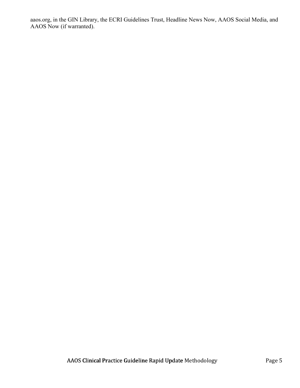aaos.org, in the GIN Library, the ECRI Guidelines Trust, Headline News Now, AAOS Social Media, and AAOS Now (if warranted).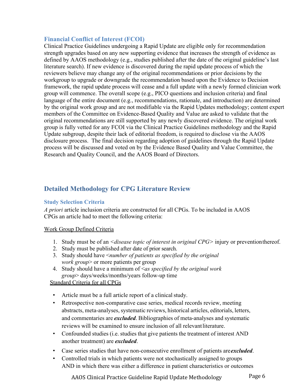## **Financial Conflict of Interest (FCOI)**

Clinical Practice Guidelines undergoing a Rapid Update are eligible only for recommendation strength upgrades based on any new supporting evidence that increases the strength of evidence as defined by AAOS methodology (e.g., studies published after the date of the original guideline's last literature search). If new evidence is discovered during the rapid update process of which the reviewers believe may change any of the original recommendations or prior decisions by the workgroup to upgrade or downgrade the recommendation based upon the Evidence to Decision framework, the rapid update process will cease and a full update with a newly formed clinician work group will commence. The overall scope (e.g., PICO questions and inclusion criteria) and final language of the entire document (e.g., recommendations, rationale, and introduction) are determined by the original work group and are not modifiable via the Rapid Updates methodology; content expert members of the Committee on Evidence-Based Quality and Value are asked to validate that the original recommendations are still supported by any newly discovered evidence. The original work group is fully vetted for any FCOI via the Clinical Practice Guidelines methodology and the Rapid Update subgroup, despite their lack of editorial freedom, is required to disclose via the AAOS disclosure process. The final decision regarding adoption of guidelines through the Rapid Update process will be discussed and voted on by the Evidence Based Quality and Value Committee, the Research and Quality Council, and the AAOS Board of Directors.

# **Detailed Methodology for CPG Literature Review**

## **Study Selection Criteria**

*A priori* article inclusion criteria are constructed for all CPGs. To be included in AAOS CPGs an article had to meet the following criteria:

#### Work Group Defined Criteria

- 1. Study must be of an *<disease topic of interest in original CPG>* injury or prevention thereof.
- 2. Study must be published after date of prior search.
- 3. Study should have <*number of patients as specified by the original work group*> or more patients per group
- 4. Study should have a minimum of <*as specified by the original work group*> days/weeks/months/years follow-up time

## Standard Criteria for all CPGs

- Article must be a full article report of a clinical study.
- Retrospective non-comparative case series, medical records review, meeting abstracts, meta-analyses, systematic reviews, historical articles, editorials, letters, and commentaries are *excluded*. Bibliographies of meta-analyses and systematic reviews will be examined to ensure inclusion of all relevant literature.
- Confounded studies (i.e. studies that give patients the treatment of interest AND another treatment) are *excluded*.
- Case series studies that have non-consecutive enrollment of patients are *excluded*.
- Controlled trials in which patients were not stochastically assigned to groups AND in which there was either a difference in patient characteristics or outcomes

AAOS Clinical Practice Guideline Rapid Update Methodology Page 6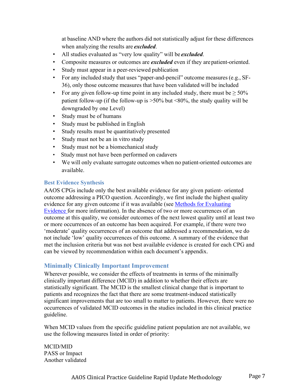at baseline AND where the authors did not statistically adjust for these differences when analyzing the results are *excluded*.

- All studies evaluated as "very low quality" will be *excluded*.
- Composite measures or outcomes are *excluded* even if they are patient-oriented.
- Study must appear in a peer-reviewed publication
- For any included study that uses "paper-and-pencil" outcome measures (e.g., SF-36), only those outcome measures that have been validated will be included
- For any given follow-up time point in any included study, there must be  $\geq 50\%$ patient follow-up (if the follow-up is  $>50\%$  but  $<80\%$ , the study quality will be downgraded by one Level)
- Study must be of humans
- Study must be published in English
- Study results must be quantitatively presented
- Study must not be an in vitro study
- Study must not be a biomechanical study
- Study must not have been performed on cadavers
- We will only evaluate surrogate outcomes when no patient-oriented outcomes are available.

#### **Best Evidence Synthesis**

AAOS CPGs include only the best available evidence for any given patient- oriented outcome addressing a PICO question. Accordingly, we first include the highest quality evidence for any given outcome if it was available (see Methods for Evaluating Evidence for more information). In the absence of two or more occurrences of an outcome at this quality, we consider outcomes of the next lowest quality until at least two or more occurrences of an outcome has been acquired. For example, if there were two 'moderate' quality occurrences of an outcome that addressed a recommendation, we do not include 'low' quality occurrences of this outcome. A summary of the evidence that met the inclusion criteria but was not best available evidence is created for each CPG and can be viewed by recommendation within each document's appendix.

## **Minimally Clinically Important Improvement**

Wherever possible, we consider the effects of treatments in terms of the minimally clinically important difference (MCID) in addition to whether their effects are statistically significant. The MCID is the smallest clinical change that is important to patients and recognizes the fact that there are some treatment-induced statistically significant improvements that are too small to matter to patients. However, there were no occurrences of validated MCID outcomes in the studies included in this clinical practice guideline.

When MCID values from the specific guideline patient population are not available, we use the following measures listed in order of priority:

MCID/MID PASS or Impact Another validated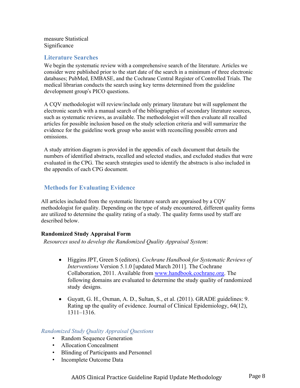measure Statistical Significance

## **Literature Searches**

We begin the systematic review with a comprehensive search of the literature. Articles we consider were published prior to the start date of the search in a minimum of three electronic databases; PubMed, EMBASE, and the Cochrane Central Register of Controlled Trials. The medical librarian conducts the search using key terms determined from the guideline development group's PICO questions.

A CQV methodologist will review/include only primary literature but will supplement the electronic search with a manual search of the bibliographies of secondary literature sources, such as systematic reviews, as available. The methodologist will then evaluate all recalled articles for possible inclusion based on the study selection criteria and will summarize the evidence for the guideline work group who assist with reconciling possible errors and omissions.

A study attrition diagram is provided in the appendix of each document that details the numbers of identified abstracts, recalled and selected studies, and excluded studies that were evaluated in the CPG. The search strategies used to identify the abstracts is also included in the appendix of each CPG document.

## **Methods for Evaluating Evidence**

All articles included from the systematic literature search are appraised by a CQV methodologist for quality. Depending on the type of study encountered, different quality forms are utilized to determine the quality rating of a study. The quality forms used by staff are described below.

#### **Randomized Study Appraisal Form**

*Resources used to develop the Randomized Quality Appraisal System*:

- Higgins JPT, Green S (editors). *Cochrane Handbook for Systematic Reviews of Interventions* Version 5.1.0 [updated March 2011]. The Cochrane Collaboration, 2011. Available from www.handbook.cochrane.org. The following domains are evaluated to determine the study quality of randomized study designs.
- Guyatt, G. H., Oxman, A. D., Sultan, S., et al. (2011). GRADE guidelines: 9. Rating up the quality of evidence. Journal of Clinical Epidemiology, 64(12), 1311–1316.

## *Randomized Study Quality Appraisal Questions*

- Random Sequence Generation
- Allocation Concealment
- Blinding of Participants and Personnel
- Incomplete Outcome Data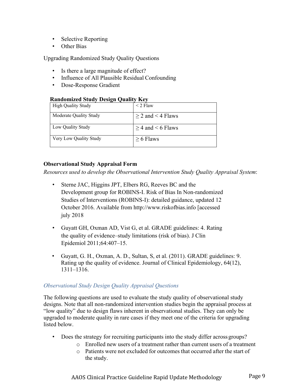- Selective Reporting
- Other Bias

Upgrading Randomized Study Quality Questions

- Is there a large magnitude of effect?
- Influence of All Plausible Residual Confounding
- Dose-Response Gradient

| <b>Randomized Study Design Quality Key</b> |  |  |
|--------------------------------------------|--|--|
|                                            |  |  |

| High Quality Study     | $<$ 2 Flaw             |
|------------------------|------------------------|
| Moderate Quality Study | $\geq$ 2 and < 4 Flaws |
| Low Ouality Study      | $>$ 4 and $<$ 6 Flaws  |
| Very Low Quality Study | $> 6$ Flaws            |

#### **Observational Study Appraisal Form**

*Resources used to develop the Observational Intervention Study Quality Appraisal System*:

- Sterne JAC, Higgins JPT, Elbers RG, Reeves BC and the Development group for ROBINS-I. Risk of Bias In Non-randomized Studies of Interventions (ROBINS-I): detailed guidance, updated 12 October 2016. Available from http://www.riskofbias.info [accessed july 2018
- Guyatt GH, Oxman AD, Vist G, et al. GRADE guidelines: 4. Rating the quality of evidence–study limitations (risk of bias). J Clin Epidemiol 2011;64:407–15.
- Guyatt, G. H., Oxman, A. D., Sultan, S, et al. (2011). GRADE guidelines: 9. Rating up the quality of evidence. Journal of Clinical Epidemiology, 64(12), 1311–1316.

## *Observational Study Design Quality Appraisal Questions*

The following questions are used to evaluate the study quality of observational study designs. Note that all non-randomized intervention studies begin the appraisal process at "low quality" due to design flaws inherent in observational studies. They can only be upgraded to moderate quality in rare cases if they meet one of the criteria for upgrading listed below.

- Does the strategy for recruiting participants into the study differ across groups?
	- o Enrolled new users of a treatment rather than current users of a treatment
	- o Patients were not excluded for outcomes that occurred after the start of the study.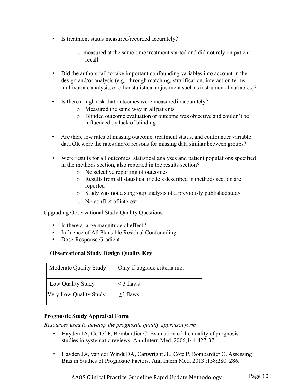- Is treatment status measured/recorded accurately?
	- o measured at the same time treatment started and did not rely on patient recall.
- Did the authors fail to take important confounding variables into account in the design and/or analysis (e.g., through matching, stratification, interaction terms, multivariate analysis, or other statistical adjustment such as instrumental variables)?
- Is there a high risk that outcomes were measured inaccurately?
	- o Measured the same way in all patients
	- o Blinded outcome evaluation or outcome was objective and couldn't be influenced by lack of blinding
- Are there low rates of missing outcome, treatment status, and confounder variable data OR were the rates and/or reasons for missing data similar between groups?
- Were results for all outcomes, statistical analyses and patient populations specified in the methods section, also reported in the results section?
	- o No selective reporting of outcomes
	- o Results from all statistical models described in methods section are reported
	- o Study was not a subgroup analysis of a previously published study
	- o No conflict of interest

Upgrading Observational Study Quality Questions

- Is there a large magnitude of effect?
- Influence of All Plausible Residual Confounding
- Dose-Response Gradient

## **Observational Study Design Quality Key**

| Moderate Quality Study        | Only if upgrade criteria met |
|-------------------------------|------------------------------|
| Low Quality Study             | $<$ 3 flaws                  |
| <b>Very Low Quality Study</b> | $>3$ flaws                   |

#### **Prognostic Study Appraisal Form**

*Resources used to develop the prognostic quality appraisal form* 

- Hayden JA, Co^te' P, Bombardier C. Evaluation of the quality of prognosis studies in systematic reviews. Ann Intern Med. 2006;144:427-37.
- Hayden JA, van der Windt DA, Cartwright JL, Côté P, Bombardier C. Assessing Bias in Studies of Prognostic Factors. Ann Intern Med. 2013 ;158:280–286.

AAOS Clinical Practice Guideline Rapid Update Methodology Page 10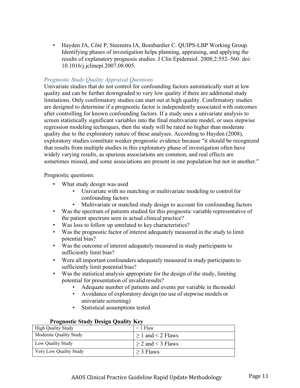• Hayden JA, Côté P, Steenstra IA, Bombardier C. QUIPS-LBP Working Group. Identifying phases of investigation helps planning, appraising, and applying the results of explanatory prognosis studies. J Clin Epidemiol. 2008;2:552–560. doi: 10.1016/j.jclinepi.2007.08.005.

## *Prognostic Study Quality Appraisal Questions*

Univariate studies that do not control for confounding factors automatically start at low quality and can be further downgraded to very low quality if there are additional study limitations. Only confirmatory studies can start out at high quality. Confirmatory studies are designed to determine if a prognostic factor is independently associated with outcomes after controlling for known confounding factors. If a study uses a univariate analysis to screen statistically significant variables into the final multivariate model, or uses stepwise regression modeling techniques, then the study will be rated no higher than moderate quality due to the exploratory nature of these analyses. According to Hayden (2008), exploratory studies constitute weaker prognostic evidence because "it should be recognized that results from multiple studies in this exploratory phase of investigation often have widely varying results, as spurious associations are common, and real effects are sometimes missed, and some associations are present in one population but not in another."

Prognostic questions:

- What study design was used
	- Univariate with no matching or multivariate modeling to control for confounding factors
	- Multivariate or matched study design to account for confounding factors
- Was the spectrum of patients studied for this prognostic variable representative of the patient spectrum seen in actual clinical practice?
- Was loss to follow up unrelated to key characteristics?
- Was the prognostic factor of interest adequately measured in the study to limit potential bias?
- Was the outcome of interest adequately measured in study participants to sufficiently limit bias?
- Were all important confounders adequately measured in study participants to sufficiently limit potential bias?
- Was the statistical analysis appropriate for the design of the study, limiting potential for presentation of invalid results?
	- Adequate number of patients and events per variable in the model
	- Avoidance of exploratory design (no use of stepwise models or univariate screening)
	- Statistical assumptions tested

## **Prognostic Study Design Quality Key**

| <b>High Quality Study</b> | $<$ 1 Flaw             |
|---------------------------|------------------------|
| Moderate Quality Study    | $> 1$ and $< 2$ Flaws  |
| Low Quality Study         | $\geq$ 2 and < 3 Flaws |
| Very Low Quality Study    | $>$ 3 Flaws            |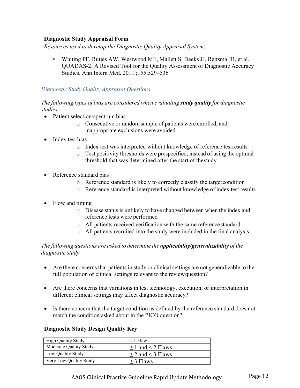## **Diagnostic Study Appraisal Form**

*Resources used to develop the Diagnostic Quality Appraisal System*:

• Whiting PF, Rutjes AW, Westwood ME, Mallett S, Deeks JJ, Reitsma JB, et al. QUADAS-2: A Revised Tool for the Quality Assessment of Diagnostic Accuracy Studies. Ann Intern Med. 2011 ;155:529–536

## *Diagnostic Study Quality Appraisal Questions*

#### *The following types of bias are considered when evaluating study quality for diagnostic studies*

- Patient selection/spectrum bias
	- o Consecutive or random sample of patients were enrolled, and inappropriate exclusions were avoided
- Index test bias
	- o Index test was interpreted without knowledge of reference test results
	- o Test positivity thresholds were prespecified, instead of using the optimal threshold that was determined after the start of the study.
- Reference standard bias
	- o Reference standard is likely to correctly classify the target condition
	- o Reference standard is interpreted without knowledge of index test results
- Flow and timing
	- o Disease status is unlikely to have changed between when the index and reference tests were performed
	- o All patients received verification with the same reference standard
	- o All patients recruited into the study were included in the final analysis

## *The following questions are asked to determine the applicability/generalizability of the diagnostic study*

- Are there concerns that patients in study or clinical settings are not generalizable to the full population or clinical settings relevant to the review question?
- Are there concerns that variations in test technology, execution, or interpretation in different clinical settings may affect diagnostic accuracy?
- Is there concern that the target condition as defined by the reference standard does not match the condition asked about in the PICO question?

## **Diagnostic Study Design Quality Key**

| <b>High Quality Study</b> | $\leq$ 1 Flaw         |
|---------------------------|-----------------------|
| Moderate Quality Study    | $> 1$ and $< 2$ Flaws |
| Low Quality Study         | $>$ 2 and $<$ 3 Flaws |
| Very Low Quality Study    | $\geq$ 3 Flaws        |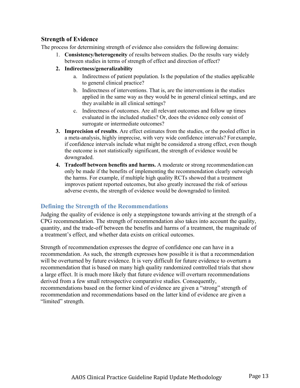## **Strength of Evidence**

The process for determining strength of evidence also considers the following domains:

- 1. **Consistency/heterogeneity** of results between studies. Do the results vary widely between studies in terms of strength of effect and direction of effect?
- **2. Indirectness/generalizability** 
	- a. Indirectness of patient population. Is the population of the studies applicable to general clinical practice?
	- b. Indirectness of interventions. That is, are the interventions in the studies applied in the same way as they would be in general clinical settings, and are they available in all clinical settings?
	- c. Indirectness of outcomes. Are all relevant outcomes and follow up times evaluated in the included studies? Or, does the evidence only consist of surrogate or intermediate outcomes?
- **3. Imprecision of results**. Are effect estimates from the studies, or the pooled effect in a meta-analysis, highly imprecise, with very wide confidence intervals? For example, if confidence intervals include what might be considered a strong effect, even though the outcome is not statistically significant, the strength of evidence would be downgraded.
- **4. Tradeoff between benefits and harms.** A moderate or strong recommendation can only be made if the benefits of implementing the recommendation clearly outweigh the harms. For example, if multiple high quality RCTs showed that a treatment improves patient reported outcomes, but also greatly increased the risk of serious adverse events, the strength of evidence would be downgraded to limited.

## **Defining the Strength of the Recommendations**

Judging the quality of evidence is only a steppingstone towards arriving at the strength of a CPG recommendation. The strength of recommendation also takes into account the quality, quantity, and the trade-off between the benefits and harms of a treatment, the magnitude of a treatment's effect, and whether data exists on critical outcomes.

Strength of recommendation expresses the degree of confidence one can have in a recommendation. As such, the strength expresses how possible it is that a recommendation will be overturned by future evidence. It is very difficult for future evidence to overturn a recommendation that is based on many high quality randomized controlled trials that show a large effect. It is much more likely that future evidence will overturn recommendations derived from a few small retrospective comparative studies. Consequently, recommendations based on the former kind of evidence are given a "strong" strength of recommendation and recommendations based on the latter kind of evidence are given a "limited" strength.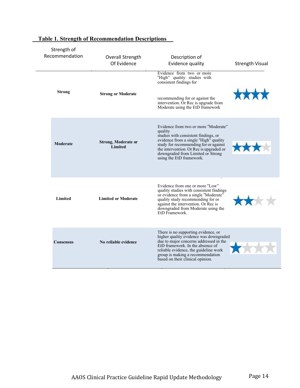| Strength of<br>Recommendation | Overall Strength<br>Of Evidence       | Description of<br>Evidence quality                                                                                                                                                                                                                                                    | <b>Strength Visual</b> |
|-------------------------------|---------------------------------------|---------------------------------------------------------------------------------------------------------------------------------------------------------------------------------------------------------------------------------------------------------------------------------------|------------------------|
| <b>Strong</b>                 | <b>Strong or Moderate</b>             | Evidence from two or more<br>"High" quality studies with<br>consistent findings for<br>recommending for or against the<br>intervention. Or Rec is upgrade from<br>Moderate using the EtD framework                                                                                    |                        |
| Moderate                      | <b>Strong, Moderate or</b><br>Limited | Evidence from two or more "Moderate"<br>quality<br>studies with consistent findings, or<br>evidence from a single "High" quality<br>study for recommending for or against<br>the intervention. Or Rec is upgraded or<br>downgraded from Limited or Strong<br>using the EtD framework. |                        |
| <b>Limited</b>                | <b>Limited or Moderate</b>            | Evidence from one or more "Low"<br>quality studies with consistent findings<br>or evidence from a single "Moderate"<br>quality study recommending for or<br>against the intervention. Or Rec is<br>downgraded from Moderate using the<br>EtD Framework.                               | <b>hotel</b>           |
| <b>Consensus</b>              | No reliable evidence                  | There is no supporting evidence, or<br>higher quality evidence was downgraded<br>due to major concerns addressed in the<br>EtD framework. In the absence of<br>reliable evidence, the guideline work<br>group is making a recommendation<br>based on their clinical opinion.          |                        |

# **Table 1. Strength of Recommendation Descriptions**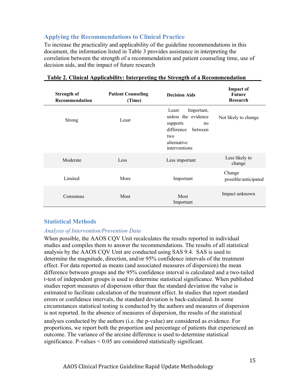## **Applying the Recommendations to Clinical Practice**

To increase the practicality and applicability of the guideline recommendations in this document, the information listed in Table 3 provides assistance in interpreting the correlation between the strength of a recommendation and patient counseling time, use of decision aids, and the impact of future research

| <b>Strength of</b><br>Recommendation | <b>Patient Counseling</b><br>(Time) | <b>Decision Aids</b>                                                                                                         | <b>Impact of</b><br><b>Future</b><br>Research |
|--------------------------------------|-------------------------------------|------------------------------------------------------------------------------------------------------------------------------|-----------------------------------------------|
| <b>Strong</b>                        | Least                               | Important,<br>Least<br>unless the evidence<br>supports<br>no<br>difference<br>between<br>two<br>alternative<br>interventions | Not likely to change                          |
| Moderate                             | Less                                | Less important                                                                                                               | Less likely to<br>change                      |
| Limited                              | More                                | Important                                                                                                                    | Change<br>possible/anticipated                |
| Consensus                            | Most                                | Most<br>Important                                                                                                            | Impact unknown                                |

#### **Table 2. Clinical Applicability: Interpreting the Strength of a Recommendation**

## **Statistical Methods**

## *Analysis of Intervention/Prevention Data*

When possible, the AAOS CQV Unit recalculates the results reported in individual studies and compiles them to answer the recommendations. The results of all statistical analysis by the AAOS CQV Unit are conducted using SAS 9.4. SAS is used to determine the magnitude, direction, and/or 95% confidence intervals of the treatment effect. For data reported as means (and associated measures of dispersion) the mean difference between groups and the 95% confidence interval is calculated and a two-tailed t-test of independent groups is used to determine statistical significance. When published studies report measures of dispersion other than the standard deviation the value is estimated to facilitate calculation of the treatment effect. In studies that report standard errors or confidence intervals, the standard deviation is back-calculated. In some circumstances statistical testing is conducted by the authors and measures of dispersion is not reported. In the absence of measures of dispersion, the results of the statistical analyses conducted by the authors (i.e. the p-value) are considered as evidence. For proportions, we report both the proportion and percentage of patients that experienced an outcome. The variance of the arcsine difference is used to determine statistical significance. P-values < 0.05 are considered statistically significant.